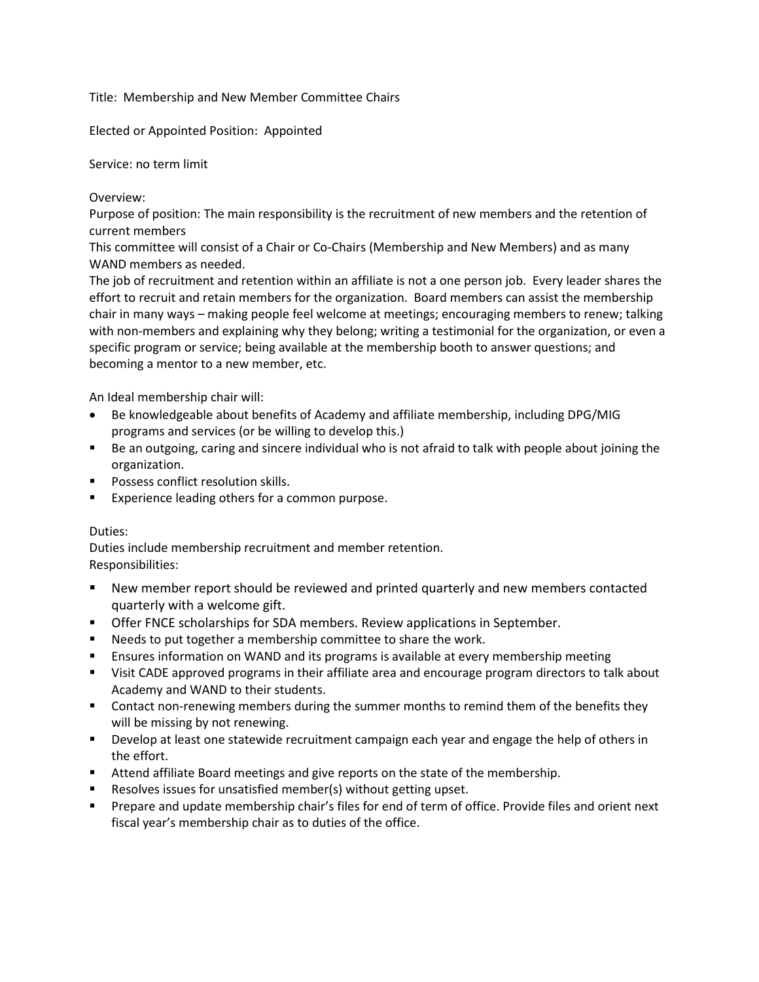Title: Membership and New Member Committee Chairs

Elected or Appointed Position: Appointed

Service: no term limit

Overview:

Purpose of position: The main responsibility is the recruitment of new members and the retention of current members

This committee will consist of a Chair or Co-Chairs (Membership and New Members) and as many WAND members as needed.

The job of recruitment and retention within an affiliate is not a one person job. Every leader shares the effort to recruit and retain members for the organization. Board members can assist the membership chair in many ways – making people feel welcome at meetings; encouraging members to renew; talking with non-members and explaining why they belong; writing a testimonial for the organization, or even a specific program or service; being available at the membership booth to answer questions; and becoming a mentor to a new member, etc.

An Ideal membership chair will:

- Be knowledgeable about benefits of Academy and affiliate membership, including DPG/MIG programs and services (or be willing to develop this.)
- Be an outgoing, caring and sincere individual who is not afraid to talk with people about joining the organization.
- **Possess conflict resolution skills.**
- **Experience leading others for a common purpose.**

## Duties:

Duties include membership recruitment and member retention. Responsibilities:

- New member report should be reviewed and printed quarterly and new members contacted quarterly with a welcome gift.
- Offer FNCE scholarships for SDA members. Review applications in September.
- **Needs to put together a membership committee to share the work.**
- **E** Ensures information on WAND and its programs is available at every membership meeting
- Visit CADE approved programs in their affiliate area and encourage program directors to talk about Academy and WAND to their students.
- **Contact non-renewing members during the summer months to remind them of the benefits they** will be missing by not renewing.
- **Develop at least one statewide recruitment campaign each year and engage the help of others in** the effort.
- **Attend affiliate Board meetings and give reports on the state of the membership.**
- Resolves issues for unsatisfied member(s) without getting upset.
- **Prepare and update membership chair's files for end of term of office. Provide files and orient next** fiscal year's membership chair as to duties of the office.